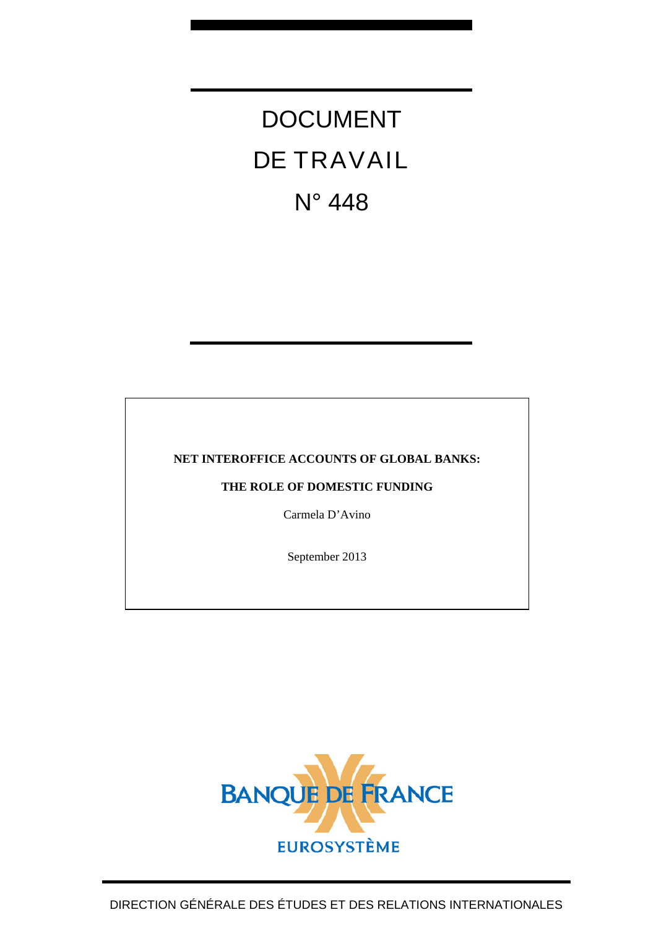# DOCUMENT DE TRAVAIL N° 448

# **NET INTEROFFICE ACCOUNTS OF GLOBAL BANKS:**

**THE ROLE OF DOMESTIC FUNDING** 

Carmela D'Avino

September 2013

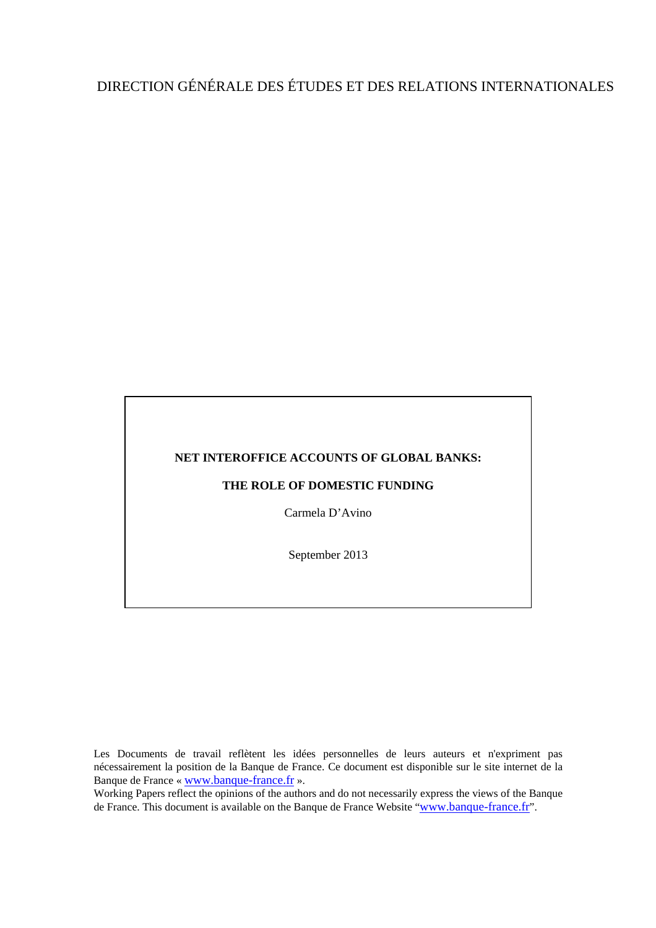# DIRECTION GÉNÉRALE DES ÉTUDES ET DES RELATIONS INTERNATIONALES

#### **NET INTEROFFICE ACCOUNTS OF GLOBAL BANKS:**

#### **THE ROLE OF DOMESTIC FUNDING**

Carmela D'Avino

September 2013

Les Documents de travail reflètent les idées personnelles de leurs auteurs et n'expriment pas nécessairement la position de la Banque de France. Ce document est disponible sur le site internet de la Banque de France « [www.banque-france.fr](http://www.banque-france.fr/) ».

Working Papers reflect the opinions of the authors and do not necessarily express the views of the Banque de France. This document is available on the Banque de France Website "[www.banque-france.fr](http://www.banque-france.fr/)".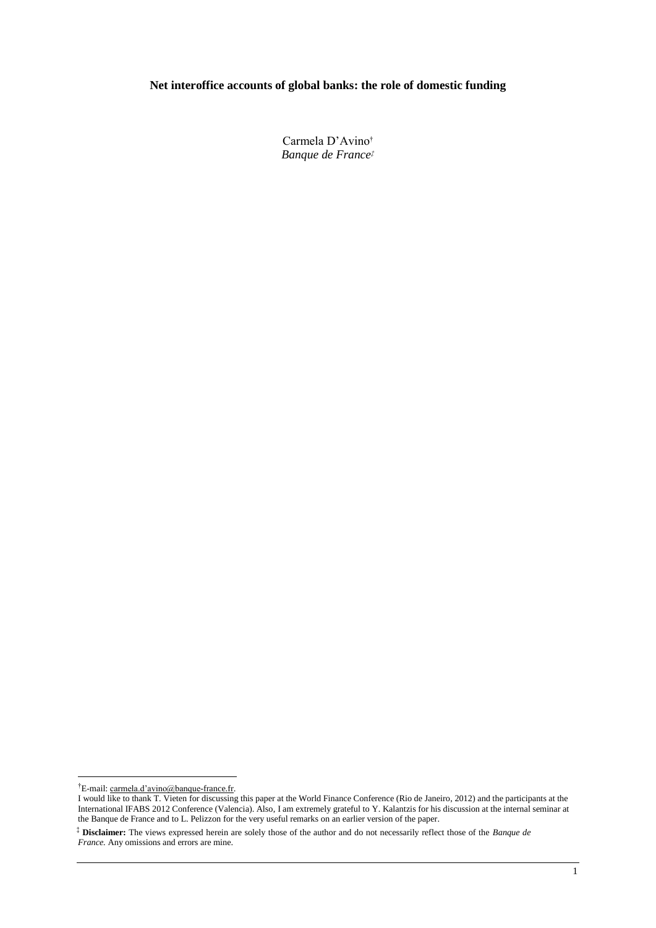# **Net interoffice accounts of global banks: the role of domestic funding**

Carmela D"Avino† *Banque de France‡*

1

<sup>†</sup>E-mail: carmela.d"avino@banque-france.fr.

I would like to thank T. Vieten for discussing this paper at the World Finance Conference (Rio de Janeiro, 2012) and the participants at the International IFABS 2012 Conference (Valencia). Also, I am extremely grateful to Y. Kalantzis for his discussion at the internal seminar at the Banque de France and to L. Pelizzon for the very useful remarks on an earlier version of the paper.

<sup>‡</sup> **Disclaimer:** The views expressed herein are solely those of the author and do not necessarily reflect those of the *Banque de France.* Any omissions and errors are mine.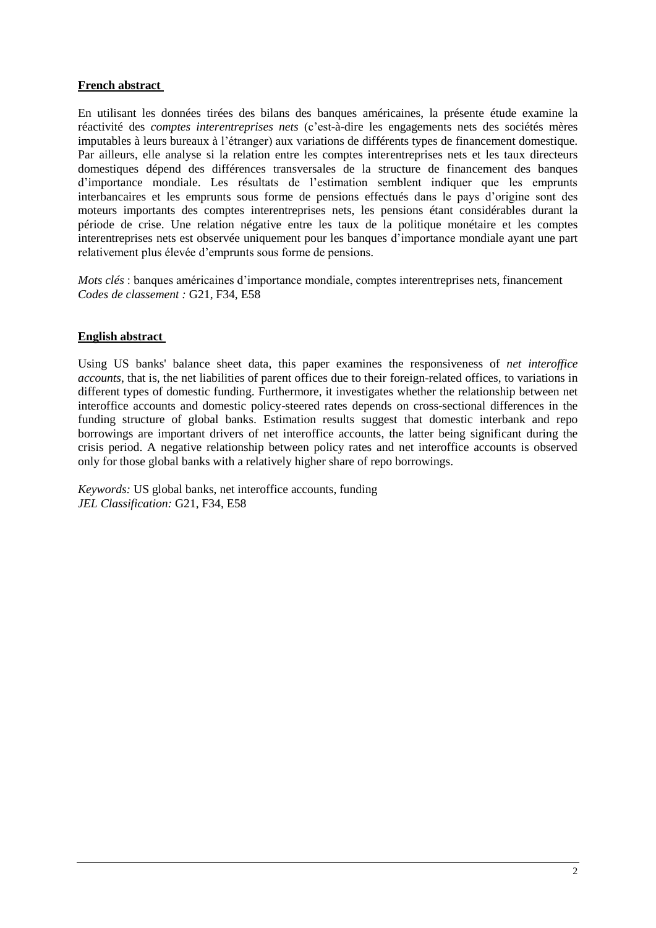# **French abstract**

En utilisant les données tirées des bilans des banques américaines, la présente étude examine la réactivité des *comptes interentreprises nets* (c"est-à-dire les engagements nets des sociétés mères imputables à leurs bureaux à l"étranger) aux variations de différents types de financement domestique. Par ailleurs, elle analyse si la relation entre les comptes interentreprises nets et les taux directeurs domestiques dépend des différences transversales de la structure de financement des banques d"importance mondiale. Les résultats de l"estimation semblent indiquer que les emprunts interbancaires et les emprunts sous forme de pensions effectués dans le pays d"origine sont des moteurs importants des comptes interentreprises nets, les pensions étant considérables durant la période de crise. Une relation négative entre les taux de la politique monétaire et les comptes interentreprises nets est observée uniquement pour les banques d"importance mondiale ayant une part relativement plus élevée d"emprunts sous forme de pensions.

*Mots clés* : banques américaines d'importance mondiale, comptes interentreprises nets, financement *Codes de classement :* G21, F34, E58

# **English abstract**

Using US banks' balance sheet data, this paper examines the responsiveness of *net interoffice accounts*, that is, the net liabilities of parent offices due to their foreign-related offices, to variations in different types of domestic funding. Furthermore, it investigates whether the relationship between net interoffice accounts and domestic policy-steered rates depends on cross-sectional differences in the funding structure of global banks. Estimation results suggest that domestic interbank and repo borrowings are important drivers of net interoffice accounts, the latter being significant during the crisis period. A negative relationship between policy rates and net interoffice accounts is observed only for those global banks with a relatively higher share of repo borrowings.

*Keywords:* US global banks, net interoffice accounts, funding *JEL Classification:* G21, F34, E58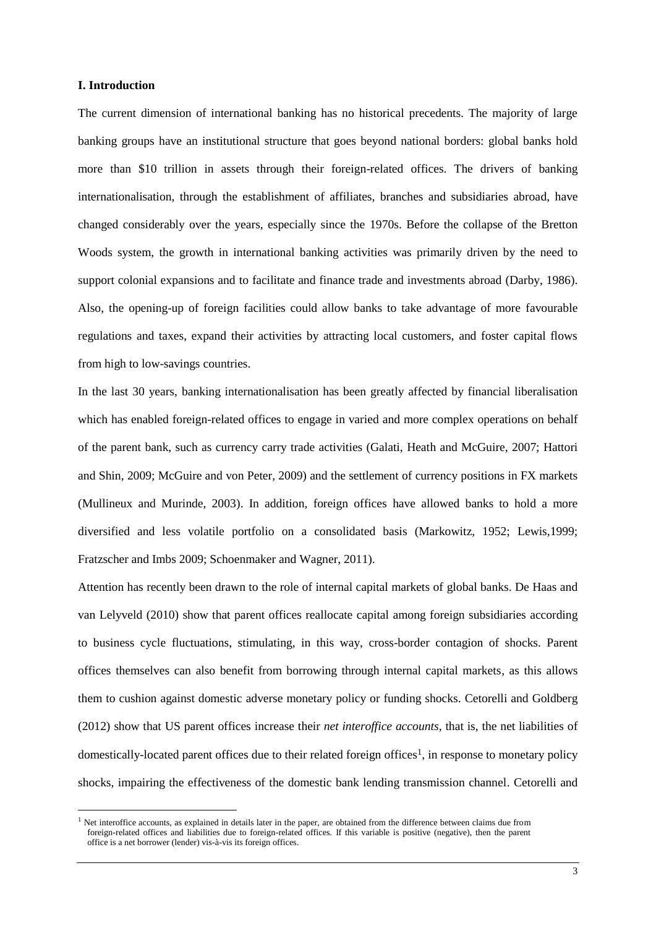# **I. Introduction**

1

The current dimension of international banking has no historical precedents. The majority of large banking groups have an institutional structure that goes beyond national borders: global banks hold more than \$10 trillion in assets through their foreign-related offices. The drivers of banking internationalisation, through the establishment of affiliates, branches and subsidiaries abroad, have changed considerably over the years, especially since the 1970s. Before the collapse of the Bretton Woods system, the growth in international banking activities was primarily driven by the need to support colonial expansions and to facilitate and finance trade and investments abroad (Darby, 1986). Also, the opening-up of foreign facilities could allow banks to take advantage of more favourable regulations and taxes, expand their activities by attracting local customers, and foster capital flows from high to low-savings countries.

In the last 30 years, banking internationalisation has been greatly affected by financial liberalisation which has enabled foreign-related offices to engage in varied and more complex operations on behalf of the parent bank, such as currency carry trade activities (Galati, Heath and McGuire, 2007; Hattori and Shin, 2009; McGuire and von Peter, 2009) and the settlement of currency positions in FX markets (Mullineux and Murinde, 2003). In addition, foreign offices have allowed banks to hold a more diversified and less volatile portfolio on a consolidated basis (Markowitz, 1952; Lewis,1999; Fratzscher and Imbs 2009; Schoenmaker and Wagner, 2011).

Attention has recently been drawn to the role of internal capital markets of global banks. De Haas and van Lelyveld (2010) show that parent offices reallocate capital among foreign subsidiaries according to business cycle fluctuations, stimulating, in this way, cross-border contagion of shocks. Parent offices themselves can also benefit from borrowing through internal capital markets, as this allows them to cushion against domestic adverse monetary policy or funding shocks. Cetorelli and Goldberg (2012) show that US parent offices increase their *net interoffice accounts*, that is, the net liabilities of domestically-located parent offices due to their related foreign offices1, in response to monetary policy shocks, impairing the effectiveness of the domestic bank lending transmission channel. Cetorelli and

 $<sup>1</sup>$  Net interoffice accounts, as explained in details later in the paper, are obtained from the difference between claims due from</sup> foreign-related offices and liabilities due to foreign-related offices. If this variable is positive (negative), then the parent office is a net borrower (lender) vis-à-vis its foreign offices.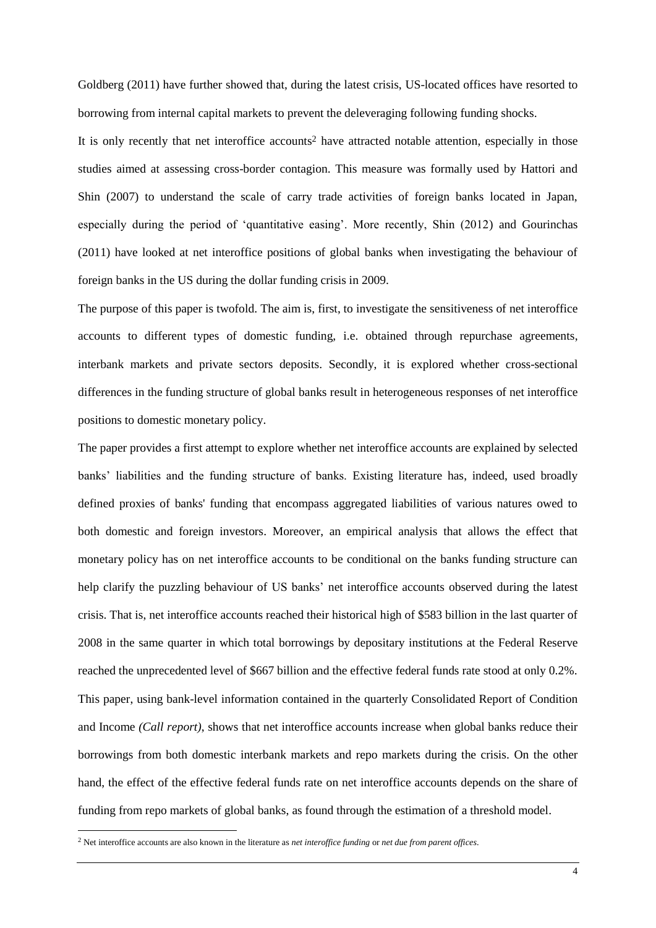Goldberg (2011) have further showed that, during the latest crisis, US-located offices have resorted to borrowing from internal capital markets to prevent the deleveraging following funding shocks.

It is only recently that net interoffice accounts<sup>2</sup> have attracted notable attention, especially in those studies aimed at assessing cross-border contagion. This measure was formally used by Hattori and Shin (2007) to understand the scale of carry trade activities of foreign banks located in Japan, especially during the period of "quantitative easing". More recently, Shin (2012) and Gourinchas (2011) have looked at net interoffice positions of global banks when investigating the behaviour of foreign banks in the US during the dollar funding crisis in 2009.

The purpose of this paper is twofold. The aim is, first, to investigate the sensitiveness of net interoffice accounts to different types of domestic funding, i.e. obtained through repurchase agreements, interbank markets and private sectors deposits. Secondly, it is explored whether cross-sectional differences in the funding structure of global banks result in heterogeneous responses of net interoffice positions to domestic monetary policy.

The paper provides a first attempt to explore whether net interoffice accounts are explained by selected banks" liabilities and the funding structure of banks. Existing literature has, indeed, used broadly defined proxies of banks' funding that encompass aggregated liabilities of various natures owed to both domestic and foreign investors. Moreover, an empirical analysis that allows the effect that monetary policy has on net interoffice accounts to be conditional on the banks funding structure can help clarify the puzzling behaviour of US banks' net interoffice accounts observed during the latest crisis. That is, net interoffice accounts reached their historical high of \$583 billion in the last quarter of 2008 in the same quarter in which total borrowings by depositary institutions at the Federal Reserve reached the unprecedented level of \$667 billion and the effective federal funds rate stood at only 0.2%. This paper, using bank-level information contained in the quarterly Consolidated Report of Condition and Income *(Call report)*, shows that net interoffice accounts increase when global banks reduce their borrowings from both domestic interbank markets and repo markets during the crisis. On the other hand, the effect of the effective federal funds rate on net interoffice accounts depends on the share of funding from repo markets of global banks, as found through the estimation of a threshold model.

1

<sup>2</sup> Net interoffice accounts are also known in the literature as *net interoffice funding* or *net due from parent offices*.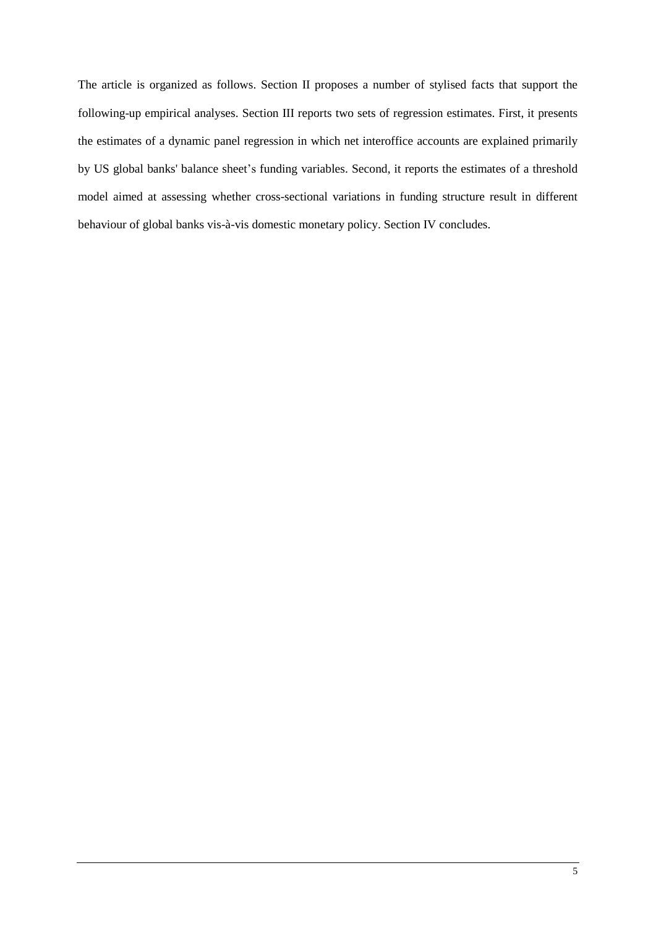The article is organized as follows. Section II proposes a number of stylised facts that support the following-up empirical analyses. Section III reports two sets of regression estimates. First, it presents the estimates of a dynamic panel regression in which net interoffice accounts are explained primarily by US global banks' balance sheet"s funding variables. Second, it reports the estimates of a threshold model aimed at assessing whether cross-sectional variations in funding structure result in different behaviour of global banks vis-à-vis domestic monetary policy. Section IV concludes.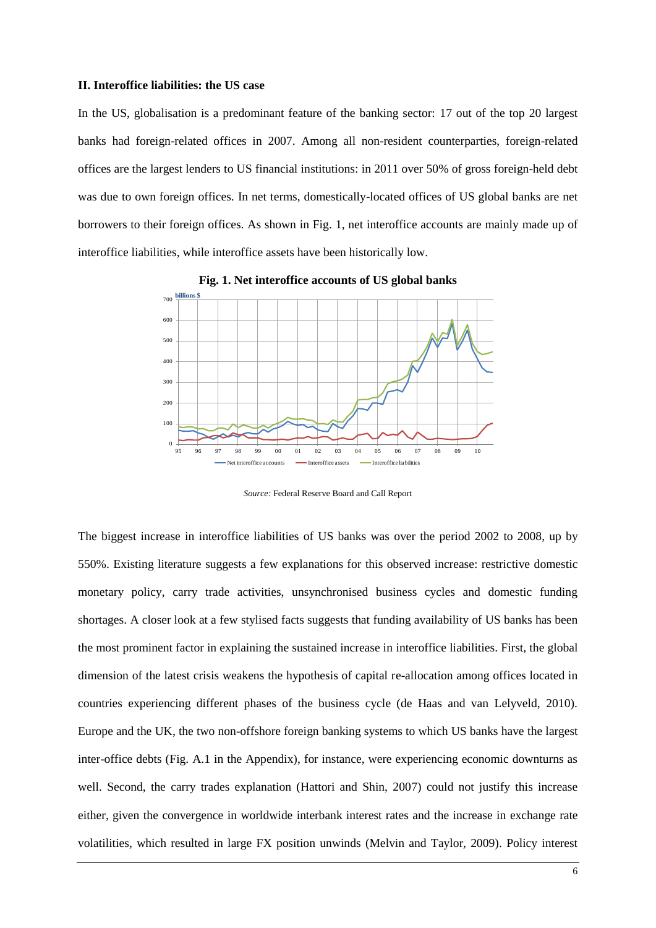# **II. Interoffice liabilities: the US case**

In the US, globalisation is a predominant feature of the banking sector: 17 out of the top 20 largest banks had foreign-related offices in 2007. Among all non-resident counterparties, foreign-related offices are the largest lenders to US financial institutions: in 2011 over 50% of gross foreign-held debt was due to own foreign offices. In net terms, domestically-located offices of US global banks are net borrowers to their foreign offices. As shown in Fig. 1, net interoffice accounts are mainly made up of interoffice liabilities, while interoffice assets have been historically low.



**Fig. 1. Net interoffice accounts of US global banks**

*Source:* Federal Reserve Board and Call Report

The biggest increase in interoffice liabilities of US banks was over the period 2002 to 2008, up by 550%. Existing literature suggests a few explanations for this observed increase: restrictive domestic monetary policy, carry trade activities, unsynchronised business cycles and domestic funding shortages. A closer look at a few stylised facts suggests that funding availability of US banks has been the most prominent factor in explaining the sustained increase in interoffice liabilities. First, the global dimension of the latest crisis weakens the hypothesis of capital re-allocation among offices located in countries experiencing different phases of the business cycle (de Haas and van Lelyveld, 2010). Europe and the UK, the two non-offshore foreign banking systems to which US banks have the largest inter-office debts (Fig. A.1 in the Appendix), for instance, were experiencing economic downturns as well. Second, the carry trades explanation (Hattori and Shin, 2007) could not justify this increase either, given the convergence in worldwide interbank interest rates and the increase in exchange rate volatilities, which resulted in large FX position unwinds (Melvin and Taylor, 2009). Policy interest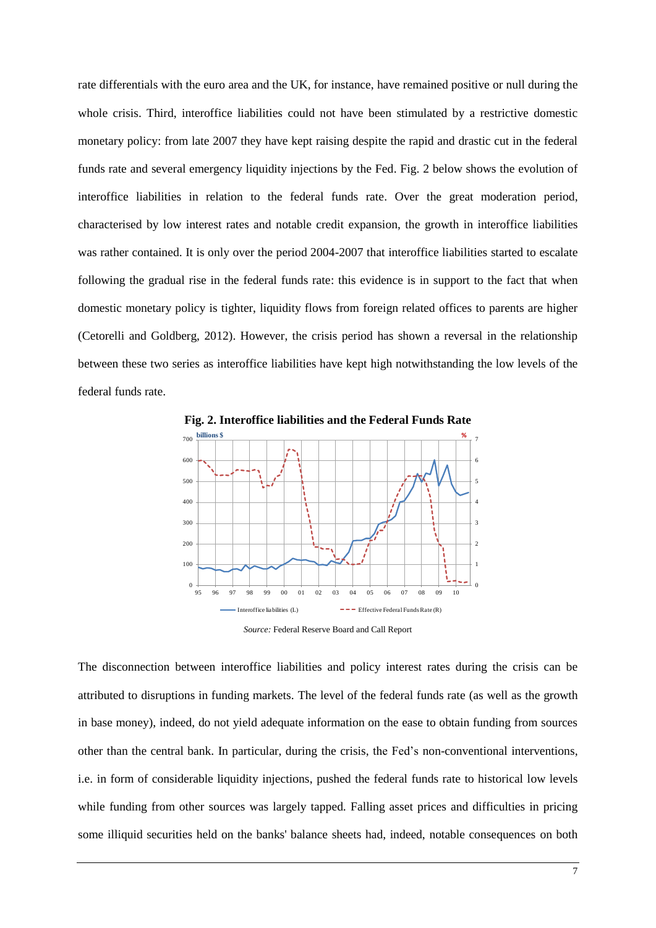rate differentials with the euro area and the UK, for instance, have remained positive or null during the whole crisis. Third, interoffice liabilities could not have been stimulated by a restrictive domestic monetary policy: from late 2007 they have kept raising despite the rapid and drastic cut in the federal funds rate and several emergency liquidity injections by the Fed. Fig. 2 below shows the evolution of interoffice liabilities in relation to the federal funds rate. Over the great moderation period, characterised by low interest rates and notable credit expansion, the growth in interoffice liabilities was rather contained. It is only over the period 2004-2007 that interoffice liabilities started to escalate following the gradual rise in the federal funds rate: this evidence is in support to the fact that when domestic monetary policy is tighter, liquidity flows from foreign related offices to parents are higher (Cetorelli and Goldberg, 2012). However, the crisis period has shown a reversal in the relationship between these two series as interoffice liabilities have kept high notwithstanding the low levels of the federal funds rate.



*Source:* Federal Reserve Board and Call Report

The disconnection between interoffice liabilities and policy interest rates during the crisis can be attributed to disruptions in funding markets. The level of the federal funds rate (as well as the growth in base money), indeed, do not yield adequate information on the ease to obtain funding from sources other than the central bank. In particular, during the crisis, the Fed"s non-conventional interventions, i.e. in form of considerable liquidity injections, pushed the federal funds rate to historical low levels while funding from other sources was largely tapped. Falling asset prices and difficulties in pricing some illiquid securities held on the banks' balance sheets had, indeed, notable consequences on both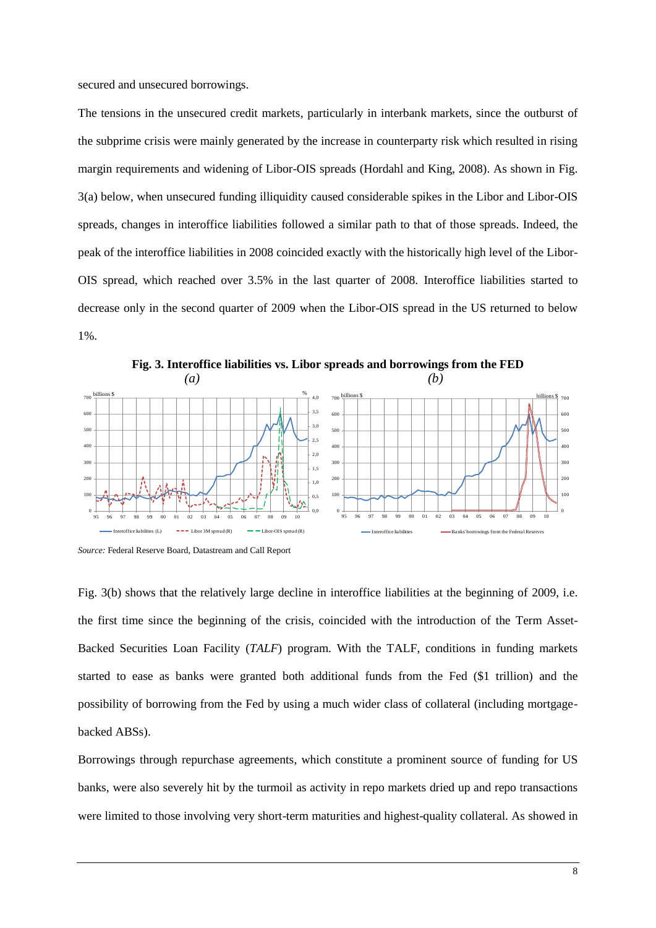secured and unsecured borrowings.

The tensions in the unsecured credit markets, particularly in interbank markets, since the outburst of the subprime crisis were mainly generated by the increase in counterparty risk which resulted in rising margin requirements and widening of Libor-OIS spreads (Hordahl and King, 2008). As shown in Fig. 3(a) below, when unsecured funding illiquidity caused considerable spikes in the Libor and Libor-OIS spreads, changes in interoffice liabilities followed a similar path to that of those spreads. Indeed, the peak of the interoffice liabilities in 2008 coincided exactly with the historically high level of the Libor-OIS spread, which reached over 3.5% in the last quarter of 2008. Interoffice liabilities started to decrease only in the second quarter of 2009 when the Libor-OIS spread in the US returned to below 1%.



*Source:* Federal Reserve Board, Datastream and Call Report

Fig. 3(b) shows that the relatively large decline in interoffice liabilities at the beginning of 2009, i.e. the first time since the beginning of the crisis, coincided with the introduction of the Term Asset-Backed Securities Loan Facility (*TALF*) program. With the TALF, conditions in funding markets started to ease as banks were granted both additional funds from the Fed (\$1 trillion) and the possibility of borrowing from the Fed by using a much wider class of collateral (including mortgagebacked ABSs).

Borrowings through repurchase agreements, which constitute a prominent source of funding for US banks, were also severely hit by the turmoil as activity in repo markets dried up and repo transactions were limited to those involving very short-term maturities and highest-quality collateral. As showed in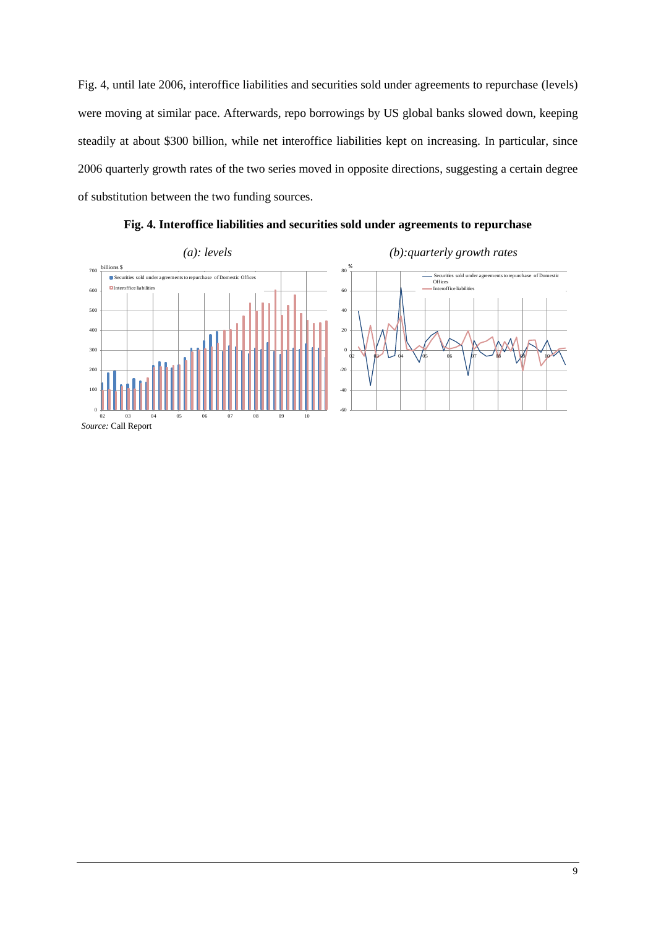Fig. 4, until late 2006, interoffice liabilities and securities sold under agreements to repurchase (levels) were moving at similar pace. Afterwards, repo borrowings by US global banks slowed down, keeping steadily at about \$300 billion, while net interoffice liabilities kept on increasing. In particular, since 2006 quarterly growth rates of the two series moved in opposite directions, suggesting a certain degree of substitution between the two funding sources.



**Fig. 4. Interoffice liabilities and securities sold under agreements to repurchase**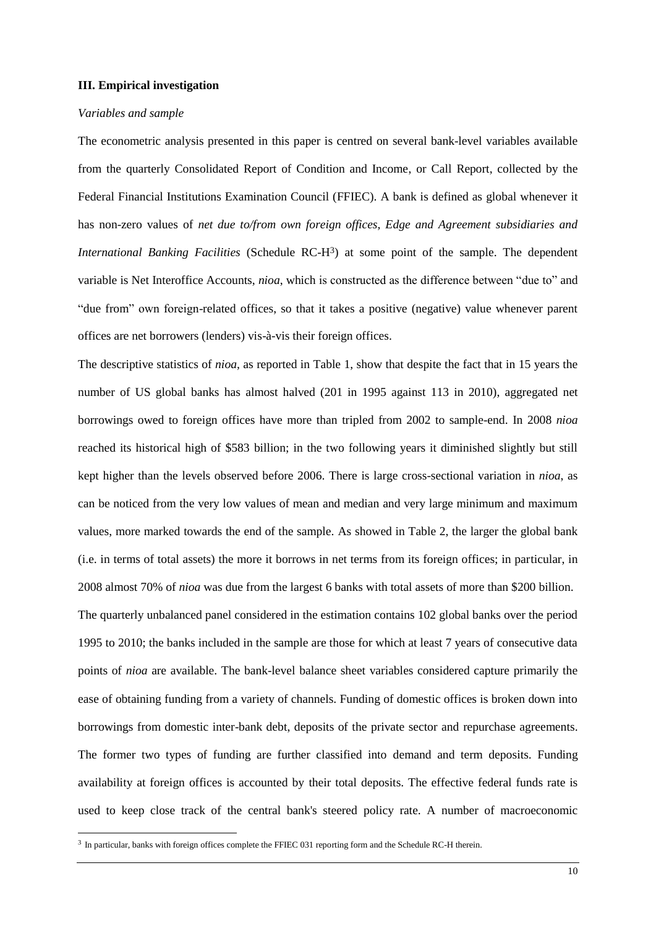#### **III. Empirical investigation**

#### *Variables and sample*

-

The econometric analysis presented in this paper is centred on several bank-level variables available from the quarterly Consolidated Report of Condition and Income, or Call Report, collected by the Federal Financial Institutions Examination Council (FFIEC). A bank is defined as global whenever it has non-zero values of *net due to/from own foreign offices, Edge and Agreement subsidiaries and International Banking Facilities* (Schedule RC-H<sup>3</sup>) at some point of the sample. The dependent variable is Net Interoffice Accounts, *nioa*, which is constructed as the difference between "due to" and "due from" own foreign-related offices, so that it takes a positive (negative) value whenever parent offices are net borrowers (lenders) vis-à-vis their foreign offices.

The descriptive statistics of *nioa,* as reported in Table 1, show that despite the fact that in 15 years the number of US global banks has almost halved (201 in 1995 against 113 in 2010), aggregated net borrowings owed to foreign offices have more than tripled from 2002 to sample-end. In 2008 *nioa* reached its historical high of \$583 billion; in the two following years it diminished slightly but still kept higher than the levels observed before 2006. There is large cross-sectional variation in *nioa*, as can be noticed from the very low values of mean and median and very large minimum and maximum values, more marked towards the end of the sample. As showed in Table 2, the larger the global bank (i.e. in terms of total assets) the more it borrows in net terms from its foreign offices; in particular, in 2008 almost 70% of *nioa* was due from the largest 6 banks with total assets of more than \$200 billion.

The quarterly unbalanced panel considered in the estimation contains 102 global banks over the period 1995 to 2010; the banks included in the sample are those for which at least 7 years of consecutive data points of *nioa* are available. The bank-level balance sheet variables considered capture primarily the ease of obtaining funding from a variety of channels. Funding of domestic offices is broken down into borrowings from domestic inter-bank debt, deposits of the private sector and repurchase agreements. The former two types of funding are further classified into demand and term deposits. Funding availability at foreign offices is accounted by their total deposits. The effective federal funds rate is used to keep close track of the central bank's steered policy rate. A number of macroeconomic

<sup>&</sup>lt;sup>3</sup> In particular, banks with foreign offices complete the FFIEC 031 reporting form and the Schedule RC-H therein.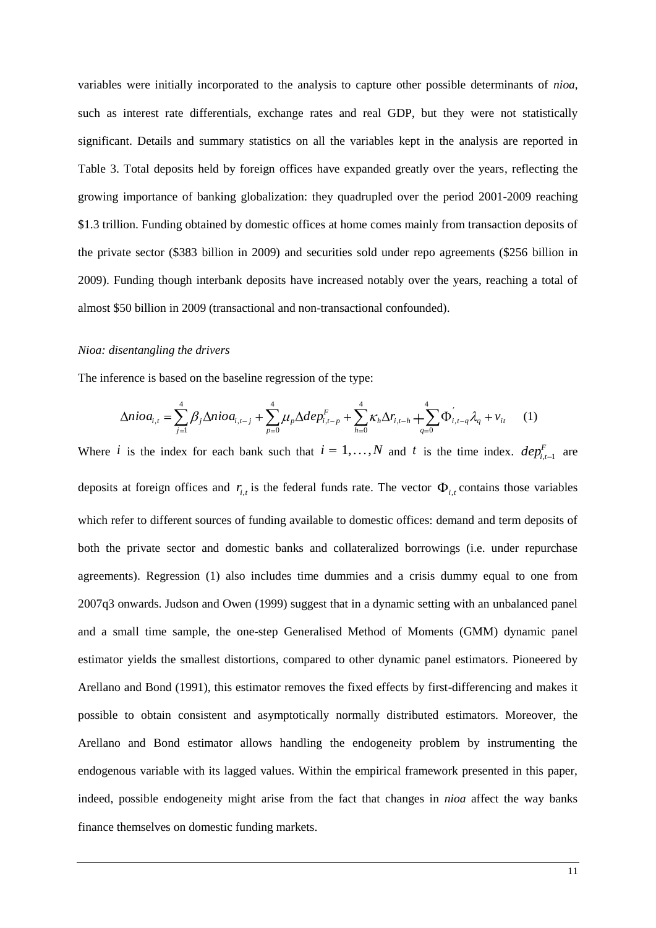variables were initially incorporated to the analysis to capture other possible determinants of *nioa*, such as interest rate differentials, exchange rates and real GDP, but they were not statistically significant. Details and summary statistics on all the variables kept in the analysis are reported in Table 3. Total deposits held by foreign offices have expanded greatly over the years, reflecting the growing importance of banking globalization: they quadrupled over the period 2001-2009 reaching \$1.3 trillion. Funding obtained by domestic offices at home comes mainly from transaction deposits of the private sector (\$383 billion in 2009) and securities sold under repo agreements (\$256 billion in 2009). Funding though interbank deposits have increased notably over the years, reaching a total of almost \$50 billion in 2009 (transactional and non-transactional confounded).

#### *Nioa: disentangling the drivers*

The inference is based on the baseline regression of the type:

$$
\Delta nio_{i,t} = \sum_{j=1}^{4} \beta_j \Delta nio_{i,t-j} + \sum_{p=0}^{4} \mu_p \Delta dep_{i,t-p}^F + \sum_{h=0}^{4} \kappa_h \Delta r_{i,t-h} + \sum_{q=0}^{4} \Phi_{i,t-q} \lambda_q + v_{it} \tag{1}
$$

Where *i* is the index for each bank such that  $i = 1,...,N$  and *t* is the time index.  $dep_{i,t-1}^F$  are deposits at foreign offices and  $r_{i,t}$  is the federal funds rate. The vector  $\Phi_{i,t}$  contains those variables which refer to different sources of funding available to domestic offices: demand and term deposits of both the private sector and domestic banks and collateralized borrowings (i.e. under repurchase agreements). Regression (1) also includes time dummies and a crisis dummy equal to one from 2007q3 onwards. Judson and Owen (1999) suggest that in a dynamic setting with an unbalanced panel and a small time sample, the one-step Generalised Method of Moments (GMM) dynamic panel estimator yields the smallest distortions, compared to other dynamic panel estimators. Pioneered by Arellano and Bond (1991), this estimator removes the fixed effects by first-differencing and makes it possible to obtain consistent and asymptotically normally distributed estimators. Moreover, the Arellano and Bond estimator allows handling the endogeneity problem by instrumenting the endogenous variable with its lagged values. Within the empirical framework presented in this paper, indeed, possible endogeneity might arise from the fact that changes in *nioa* affect the way banks finance themselves on domestic funding markets.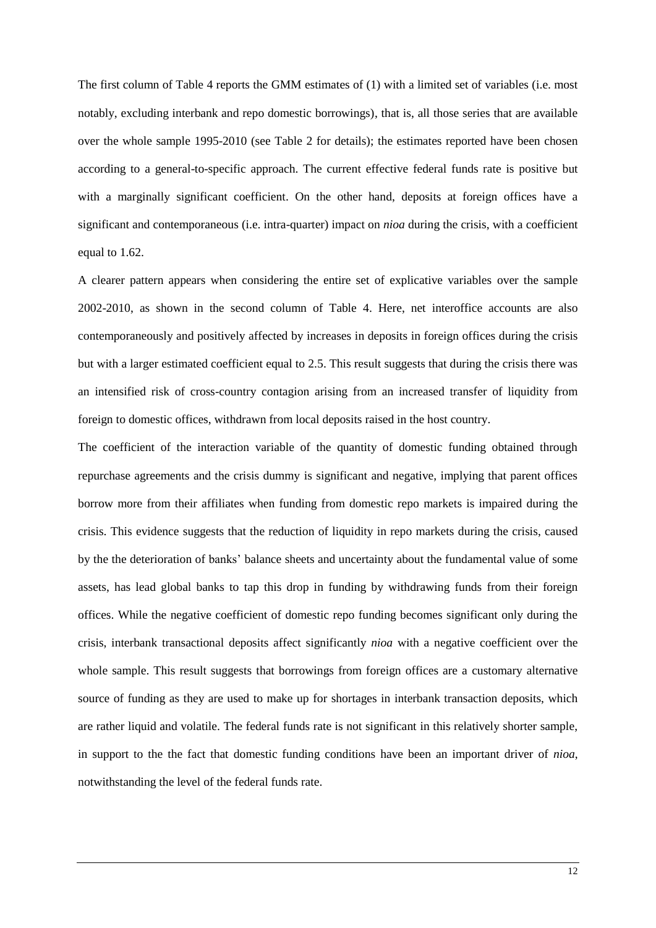The first column of Table 4 reports the GMM estimates of (1) with a limited set of variables (i.e. most notably, excluding interbank and repo domestic borrowings), that is, all those series that are available over the whole sample 1995-2010 (see Table 2 for details); the estimates reported have been chosen according to a general-to-specific approach. The current effective federal funds rate is positive but with a marginally significant coefficient. On the other hand, deposits at foreign offices have a significant and contemporaneous (i.e. intra-quarter) impact on *nioa* during the crisis, with a coefficient equal to 1.62.

A clearer pattern appears when considering the entire set of explicative variables over the sample 2002-2010, as shown in the second column of Table 4. Here, net interoffice accounts are also contemporaneously and positively affected by increases in deposits in foreign offices during the crisis but with a larger estimated coefficient equal to 2.5. This result suggests that during the crisis there was an intensified risk of cross-country contagion arising from an increased transfer of liquidity from foreign to domestic offices, withdrawn from local deposits raised in the host country.

The coefficient of the interaction variable of the quantity of domestic funding obtained through repurchase agreements and the crisis dummy is significant and negative, implying that parent offices borrow more from their affiliates when funding from domestic repo markets is impaired during the crisis. This evidence suggests that the reduction of liquidity in repo markets during the crisis, caused by the the deterioration of banks" balance sheets and uncertainty about the fundamental value of some assets, has lead global banks to tap this drop in funding by withdrawing funds from their foreign offices. While the negative coefficient of domestic repo funding becomes significant only during the crisis, interbank transactional deposits affect significantly *nioa* with a negative coefficient over the whole sample. This result suggests that borrowings from foreign offices are a customary alternative source of funding as they are used to make up for shortages in interbank transaction deposits, which are rather liquid and volatile. The federal funds rate is not significant in this relatively shorter sample, in support to the the fact that domestic funding conditions have been an important driver of *nioa*, notwithstanding the level of the federal funds rate.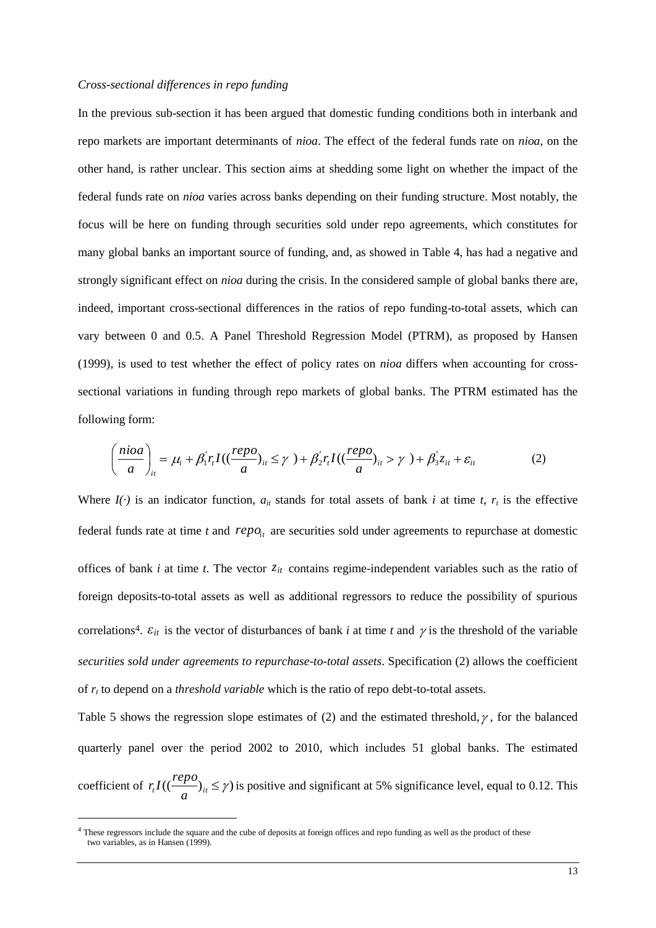#### *Cross-sectional differences in repo funding*

In the previous sub-section it has been argued that domestic funding conditions both in interbank and repo markets are important determinants of *nioa*. The effect of the federal funds rate on *nioa*, on the other hand, is rather unclear. This section aims at shedding some light on whether the impact of the federal funds rate on *nioa* varies across banks depending on their funding structure. Most notably, the focus will be here on funding through securities sold under repo agreements, which constitutes for many global banks an important source of funding, and, as showed in Table 4, has had a negative and strongly significant effect on *nioa* during the crisis. In the considered sample of global banks there are, indeed, important cross-sectional differences in the ratios of repo funding-to-total assets, which can vary between 0 and 0.5. A Panel Threshold Regression Model (PTRM), as proposed by Hansen (1999), is used to test whether the effect of policy rates on *nioa* differs when accounting for crosssectional variations in funding through repo markets of global banks. The PTRM estimated has the following form:

$$
\left(\frac{nioa}{a}\right)_{ii} = \mu_i + \beta'_1 r_i I((\frac{repo}{a})_{ii} \le \gamma) + \beta'_2 r_i I((\frac{repo}{a})_{ii} > \gamma) + \beta'_3 z_{ii} + \varepsilon_{ii}
$$
 (2)

Where  $I(\cdot)$  is an indicator function,  $a_{it}$  stands for total assets of bank *i* at time *t*,  $r_t$  is the effective federal funds rate at time  $t$  and  $repo_{it}$  are securities sold under agreements to repurchase at domestic offices of bank  $i$  at time  $t$ . The vector  $z_{it}$  contains regime-independent variables such as the ratio of foreign deposits-to-total assets as well as additional regressors to reduce the possibility of spurious correlations<sup>4</sup>.  $\varepsilon_{it}$  is the vector of disturbances of bank *i* at time *t* and  $\gamma$  is the threshold of the variable *securities sold under agreements to repurchase-to-total assets*. Specification (2) allows the coefficient of *r<sup>t</sup>* to depend on a *threshold variable* which is the ratio of repo debt-to-total assets.

Table 5 shows the regression slope estimates of (2) and the estimated threshold,  $\gamma$ , for the balanced quarterly panel over the period 2002 to 2010, which includes 51 global banks. The estimated coefficient of  $r_t I((\frac{rep}{a})_{it} \leq \gamma)$  $r<sub>i</sub>I((\frac{repo}{r})<sub>it</sub> \leq \gamma)$  is positive and significant at 5% significance level, equal to 0.12. This

-

<sup>&</sup>lt;sup>4</sup> These regressors include the square and the cube of deposits at foreign offices and repo funding as well as the product of these two variables, as in Hansen (1999).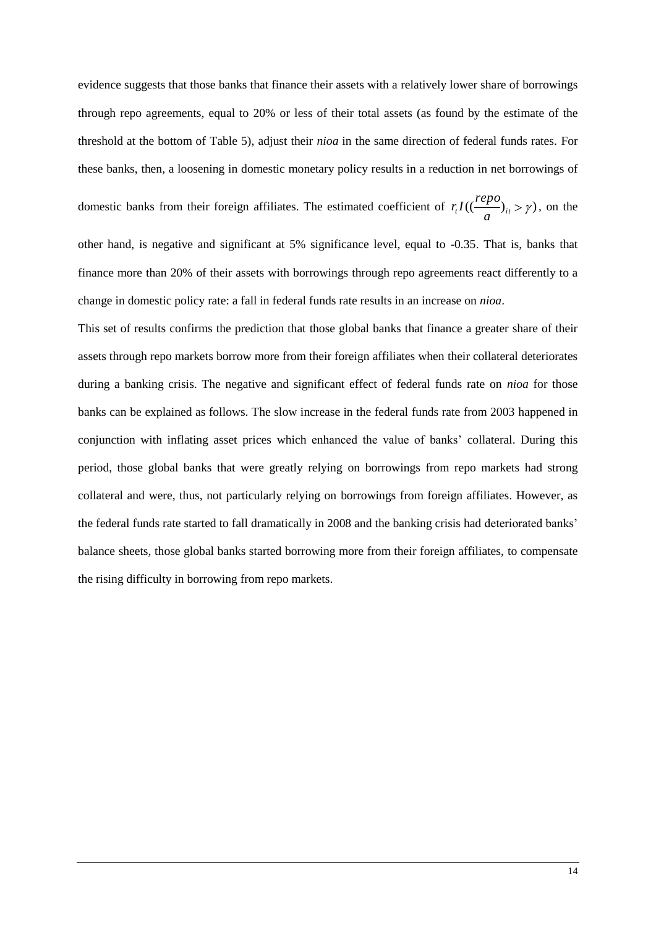evidence suggests that those banks that finance their assets with a relatively lower share of borrowings through repo agreements, equal to 20% or less of their total assets (as found by the estimate of the threshold at the bottom of Table 5), adjust their *nioa* in the same direction of federal funds rates. For these banks, then, a loosening in domestic monetary policy results in a reduction in net borrowings of

domestic banks from their foreign affiliates. The estimated coefficient of  $r_t I((\frac{r_t P_t}{a})_{it} > \gamma)$  $r_t I((\frac{repo}{\cdots})_{it} > \gamma)$ , on the

other hand, is negative and significant at 5% significance level, equal to -0.35. That is, banks that finance more than 20% of their assets with borrowings through repo agreements react differently to a change in domestic policy rate: a fall in federal funds rate results in an increase on *nioa*.

This set of results confirms the prediction that those global banks that finance a greater share of their assets through repo markets borrow more from their foreign affiliates when their collateral deteriorates during a banking crisis. The negative and significant effect of federal funds rate on *nioa* for those banks can be explained as follows. The slow increase in the federal funds rate from 2003 happened in conjunction with inflating asset prices which enhanced the value of banks" collateral. During this period, those global banks that were greatly relying on borrowings from repo markets had strong collateral and were, thus, not particularly relying on borrowings from foreign affiliates. However, as the federal funds rate started to fall dramatically in 2008 and the banking crisis had deteriorated banks" balance sheets, those global banks started borrowing more from their foreign affiliates, to compensate the rising difficulty in borrowing from repo markets.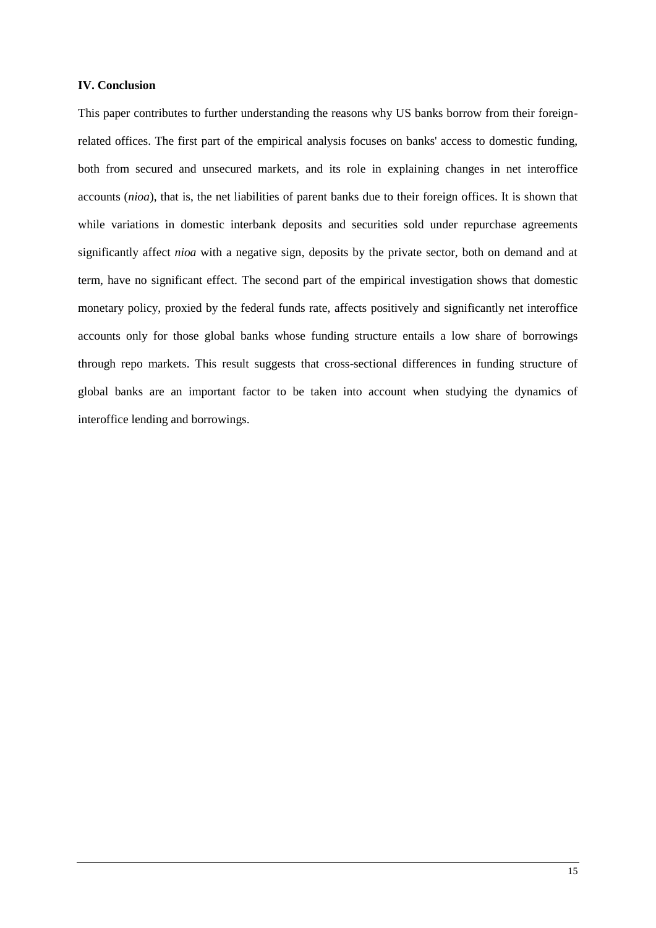## **IV. Conclusion**

This paper contributes to further understanding the reasons why US banks borrow from their foreignrelated offices. The first part of the empirical analysis focuses on banks' access to domestic funding, both from secured and unsecured markets, and its role in explaining changes in net interoffice accounts (*nioa*), that is, the net liabilities of parent banks due to their foreign offices. It is shown that while variations in domestic interbank deposits and securities sold under repurchase agreements significantly affect *nioa* with a negative sign, deposits by the private sector, both on demand and at term, have no significant effect. The second part of the empirical investigation shows that domestic monetary policy, proxied by the federal funds rate, affects positively and significantly net interoffice accounts only for those global banks whose funding structure entails a low share of borrowings through repo markets. This result suggests that cross-sectional differences in funding structure of global banks are an important factor to be taken into account when studying the dynamics of interoffice lending and borrowings.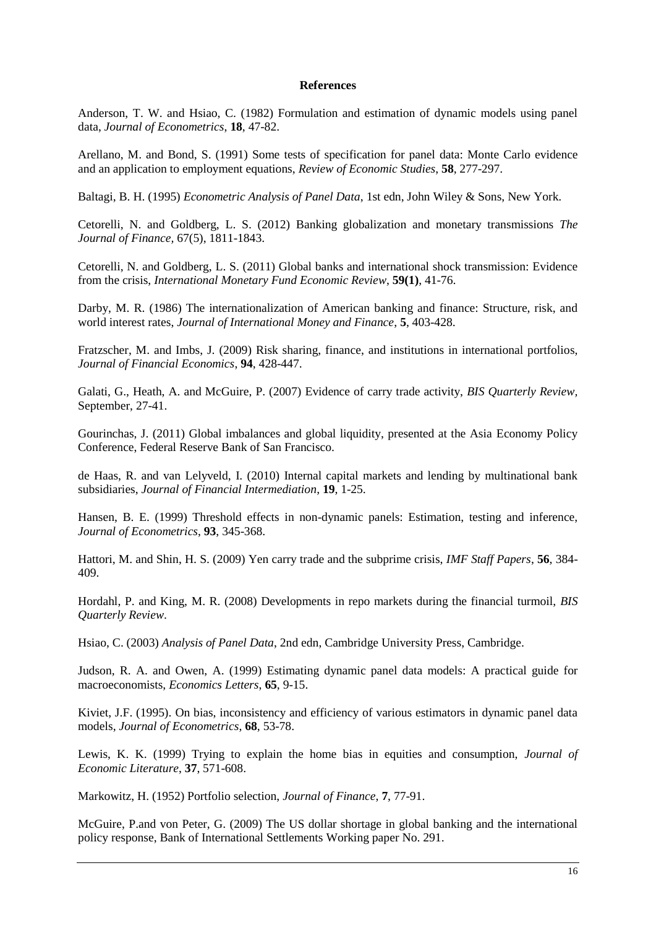#### **References**

Anderson, T. W. and Hsiao, C. (1982) Formulation and estimation of dynamic models using panel data, *Journal of Econometrics*, **18**, 47-82.

Arellano, M. and Bond, S. (1991) Some tests of specification for panel data: Monte Carlo evidence and an application to employment equations, *Review of Economic Studies*, **58**, 277-297.

Baltagi, B. H. (1995) *Econometric Analysis of Panel Data*, 1st edn, John Wiley & Sons, New York.

Cetorelli, N. and Goldberg, L. S. (2012) Banking globalization and monetary transmissions *The Journal of Finance,* 67(5), 1811-1843.

Cetorelli, N. and Goldberg, L. S. (2011) Global banks and international shock transmission: Evidence from the crisis, *International Monetary Fund Economic Review*, **59(1)**, 41-76.

Darby, M. R. (1986) The internationalization of American banking and finance: Structure, risk, and world interest rates, *Journal of International Money and Finance*, **5**, 403-428.

Fratzscher, M. and Imbs, J. (2009) Risk sharing, finance, and institutions in international portfolios, *Journal of Financial Economics*, **94**, 428-447.

Galati, G., Heath, A. and McGuire, P. (2007) Evidence of carry trade activity, *BIS Quarterly Review,* September, 27-41.

Gourinchas, J. (2011) Global imbalances and global liquidity, presented at the Asia Economy Policy Conference, Federal Reserve Bank of San Francisco.

de Haas, R. and van Lelyveld, I. (2010) Internal capital markets and lending by multinational bank subsidiaries, *Journal of Financial Intermediation*, **19**, 1-25.

Hansen, B. E. (1999) Threshold effects in non-dynamic panels: Estimation, testing and inference, *Journal of Econometrics*, **93**, 345-368.

Hattori, M. and Shin, H. S. (2009) Yen carry trade and the subprime crisis, *IMF Staff Papers*, **56**, 384- 409.

Hordahl, P. and King, M. R. (2008) Developments in repo markets during the financial turmoil, *BIS Quarterly Review*.

Hsiao, C. (2003) *Analysis of Panel Data*, 2nd edn, Cambridge University Press, Cambridge.

Judson, R. A. and Owen, A. (1999) Estimating dynamic panel data models: A practical guide for macroeconomists, *Economics Letters*, **65**, 9-15.

Kiviet, J.F. (1995). On bias, inconsistency and efficiency of various estimators in dynamic panel data models, *Journal of Econometrics*, **68**, 53-78.

Lewis, K. K. (1999) Trying to explain the home bias in equities and consumption, *Journal of Economic Literature*, **37**, 571-608.

Markowitz, H. (1952) Portfolio selection, *Journal of Finance*, **7**, 77-91.

McGuire, P.and von Peter, G. (2009) The US dollar shortage in global banking and the international policy response, Bank of International Settlements Working paper No. 291.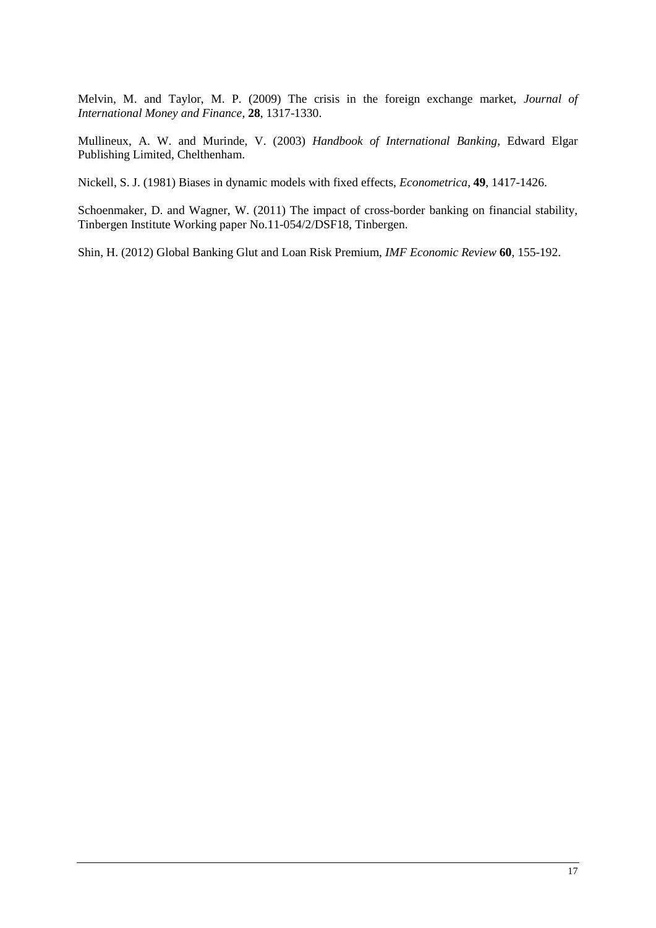Melvin, M. and Taylor, M. P. (2009) The crisis in the foreign exchange market, *Journal of International Money and Finance*, **28**, 1317-1330.

Mullineux, A. W. and Murinde, V. (2003) *Handbook of International Banking*, Edward Elgar Publishing Limited, Chelthenham.

Nickell, S. J. (1981) Biases in dynamic models with fixed effects, *Econometrica*, **49**, 1417-1426.

Schoenmaker, D. and Wagner, W. (2011) The impact of cross-border banking on financial stability, Tinbergen Institute Working paper No.11-054/2/DSF18, Tinbergen.

Shin, H. (2012) Global Banking Glut and Loan Risk Premium, *IMF Economic Review* **60**, 155-192.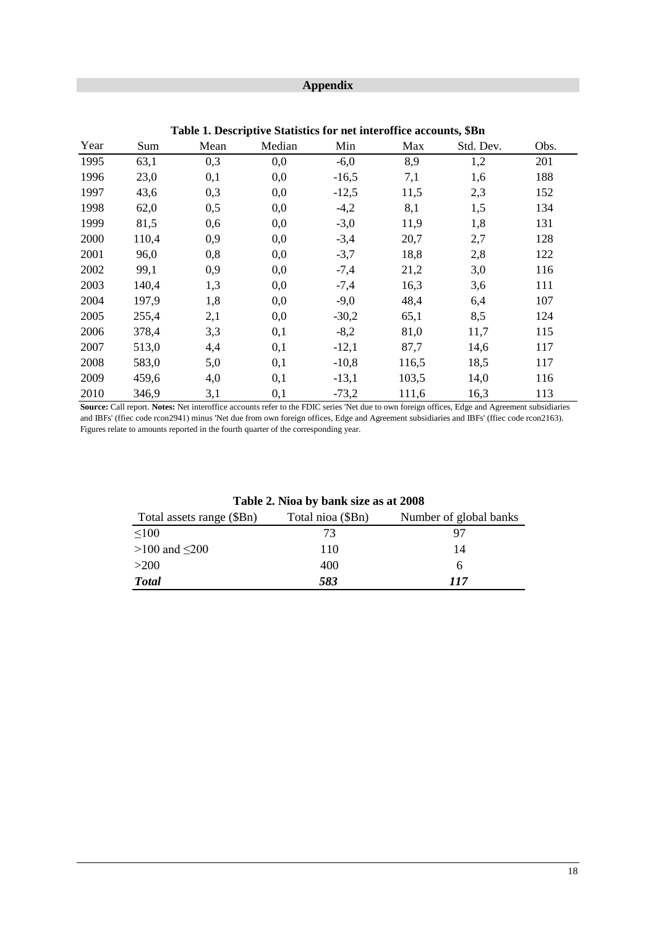# **Appendix**

| Year | Sum   | Mean | Median | Min     | Max   | Std. Dev. | Obs. |
|------|-------|------|--------|---------|-------|-----------|------|
| 1995 | 63,1  | 0,3  | 0,0    | $-6,0$  | 8,9   | 1,2       | 201  |
| 1996 | 23,0  | 0,1  | 0,0    | $-16,5$ | 7,1   | 1,6       | 188  |
| 1997 | 43,6  | 0,3  | 0,0    | $-12,5$ | 11,5  | 2,3       | 152  |
| 1998 | 62,0  | 0,5  | 0,0    | $-4,2$  | 8,1   | 1,5       | 134  |
| 1999 | 81,5  | 0,6  | 0,0    | $-3,0$  | 11,9  | 1,8       | 131  |
| 2000 | 110,4 | 0,9  | 0,0    | $-3,4$  | 20,7  | 2,7       | 128  |
| 2001 | 96,0  | 0,8  | 0,0    | $-3,7$  | 18,8  | 2,8       | 122  |
| 2002 | 99,1  | 0,9  | 0,0    | $-7,4$  | 21,2  | 3,0       | 116  |
| 2003 | 140,4 | 1,3  | 0,0    | $-7,4$  | 16,3  | 3,6       | 111  |
| 2004 | 197,9 | 1,8  | 0,0    | $-9,0$  | 48,4  | 6,4       | 107  |
| 2005 | 255,4 | 2,1  | 0,0    | $-30,2$ | 65,1  | 8,5       | 124  |
| 2006 | 378,4 | 3,3  | 0,1    | $-8,2$  | 81,0  | 11,7      | 115  |
| 2007 | 513,0 | 4,4  | 0,1    | $-12,1$ | 87,7  | 14,6      | 117  |
| 2008 | 583,0 | 5,0  | 0,1    | $-10,8$ | 116,5 | 18,5      | 117  |
| 2009 | 459,6 | 4,0  | 0,1    | $-13,1$ | 103,5 | 14,0      | 116  |
| 2010 | 346,9 | 3,1  | 0,1    | $-73,2$ | 111,6 | 16,3      | 113  |

**Table 1. Descriptive Statistics for net interoffice accounts, \$Bn**

**Source:** Call report. **Notes:** Net interoffice accounts refer to the FDIC series 'Net due to own foreign offices, Edge and Agreement subsidiaries and IBFs' (ffiec code rcon2941) minus 'Net due from own foreign offices, Edge and Agreement subsidiaries and IBFs' (ffiec code rcon2163). Figures relate to amounts reported in the fourth quarter of the corresponding year.

| Total assets range (\$Bn) | Total nioa (\$Bn) | Number of global banks |
|---------------------------|-------------------|------------------------|
| $\leq 100$                | 73                | 97                     |
| $>100$ and $\leq 200$     | 110               | 14                     |
| >200                      | 400               | h                      |
| <b>Total</b>              | 583               | 117                    |

**Table 2. Nioa by bank size as at 2008**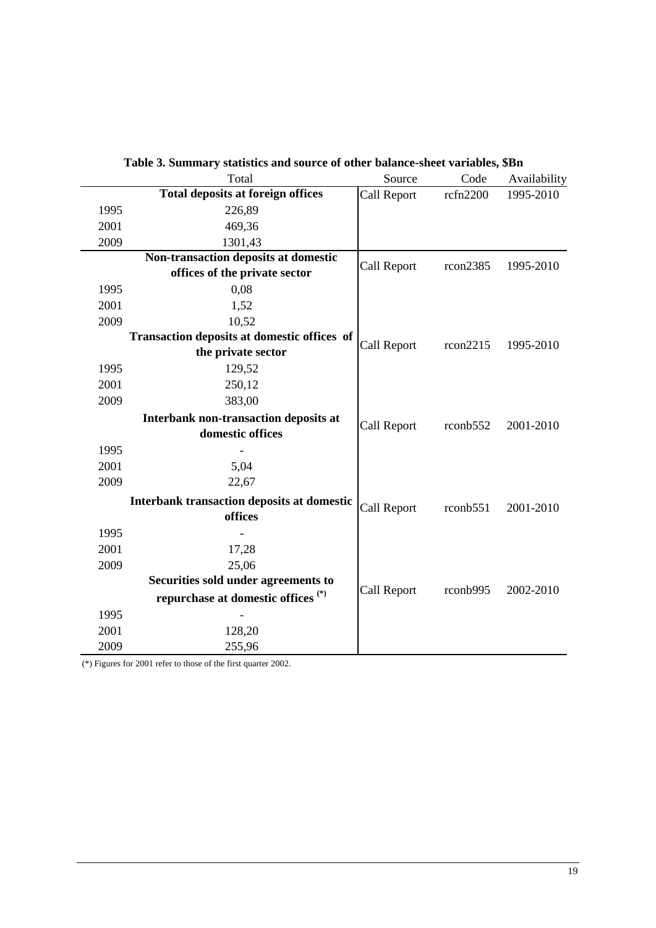|      | Total                                             | Source      | Code                | Availability |
|------|---------------------------------------------------|-------------|---------------------|--------------|
|      | <b>Total deposits at foreign offices</b>          | Call Report | rcfn2200            | 1995-2010    |
| 1995 | 226,89                                            |             |                     |              |
| 2001 | 469,36                                            |             |                     |              |
| 2009 | 1301,43                                           |             |                     |              |
|      | Non-transaction deposits at domestic              | Call Report | rcon2385            | 1995-2010    |
|      | offices of the private sector                     |             |                     |              |
| 1995 | 0,08                                              |             |                     |              |
| 2001 | 1,52                                              |             |                     |              |
| 2009 | 10,52                                             |             |                     |              |
|      | Transaction deposits at domestic offices of       | Call Report | rcon2215            | 1995-2010    |
|      | the private sector                                |             |                     |              |
| 1995 | 129,52                                            |             |                     |              |
| 2001 | 250,12                                            |             |                     |              |
| 2009 | 383,00                                            |             |                     |              |
|      | Interbank non-transaction deposits at             | Call Report | $r \text{conb} 552$ | 2001-2010    |
|      | domestic offices                                  |             |                     |              |
| 1995 |                                                   |             |                     |              |
| 2001 | 5,04                                              |             |                     |              |
| 2009 | 22,67                                             |             |                     |              |
|      | <b>Interbank transaction deposits at domestic</b> | Call Report | $r \text{conb} 551$ | 2001-2010    |
|      | offices                                           |             |                     |              |
| 1995 |                                                   |             |                     |              |
| 2001 | 17,28                                             |             |                     |              |
| 2009 | 25,06                                             |             |                     |              |
|      | Securities sold under agreements to               |             |                     |              |
|      | repurchase at domestic offices <sup>(*)</sup>     | Call Report | rconb995            | 2002-2010    |
| 1995 |                                                   |             |                     |              |
| 2001 | 128,20                                            |             |                     |              |
| 2009 | 255,96                                            |             |                     |              |

| Table 3. Summary statistics and source of other balance-sheet variables, \$Bn |  |  |  |  |
|-------------------------------------------------------------------------------|--|--|--|--|
|-------------------------------------------------------------------------------|--|--|--|--|

(\*) Figures for 2001 refer to those of the first quarter 2002.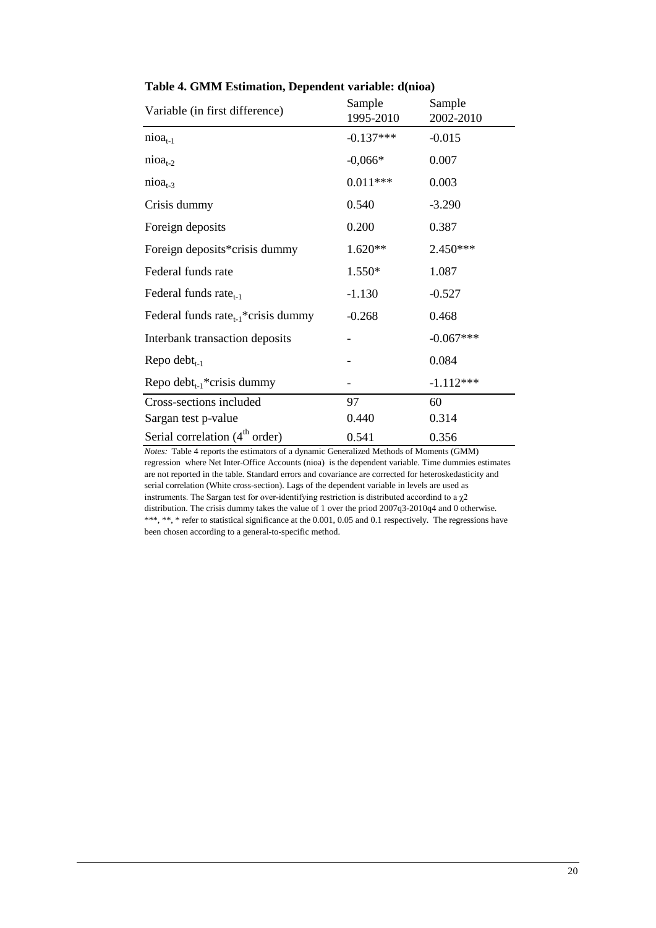| Variable (in first difference)                  | Sample<br>1995-2010 | Sample<br>2002-2010 |
|-------------------------------------------------|---------------------|---------------------|
| $nioat-1$                                       | $-0.137***$         | $-0.015$            |
| $nioat-2$                                       | $-0,066*$           | 0.007               |
| $nioat-3$                                       | $0.011***$          | 0.003               |
| Crisis dummy                                    | 0.540               | $-3.290$            |
| Foreign deposits                                | 0.200               | 0.387               |
| Foreign deposits*crisis dummy                   | 1.620**             | 2.450***            |
| Federal funds rate                              | 1.550*              | 1.087               |
| Federal funds rate $_{t-1}$                     | $-1.130$            | $-0.527$            |
| Federal funds rate <sub>t-1</sub> *crisis dummy | $-0.268$            | 0.468               |
| Interbank transaction deposits                  |                     | $-0.067***$         |
| Repo debt $_{t-1}$                              |                     | 0.084               |
| Repo debt <sub>t-1</sub> *crisis dummy          |                     | $-1.112***$         |
| Cross-sections included                         | 97                  | 60                  |
| Sargan test p-value                             | 0.440               | 0.314               |
| Serial correlation $(4th order)$                | 0.541               | 0.356               |

#### **Table 4. GMM Estimation, Dependent variable: d(nioa)**

*Notes:* Table 4 reports the estimators of a dynamic Generalized Methods of Moments (GMM) regression where Net Inter-Office Accounts (nioa) is the dependent variable. Time dummies estimates are not reported in the table. Standard errors and covariance are corrected for heteroskedasticity and serial correlation (White cross-section). Lags of the dependent variable in levels are used as instruments. The Sargan test for over-identifying restriction is distributed accordind to a  $\chi$ 2 distribution. The crisis dummy takes the value of 1 over the priod 2007q3-2010q4 and 0 otherwise. \*\*\*, \*\*, \* refer to statistical significance at the 0.001, 0.05 and 0.1 respectively. The regressions have been chosen according to a general-to-specific method.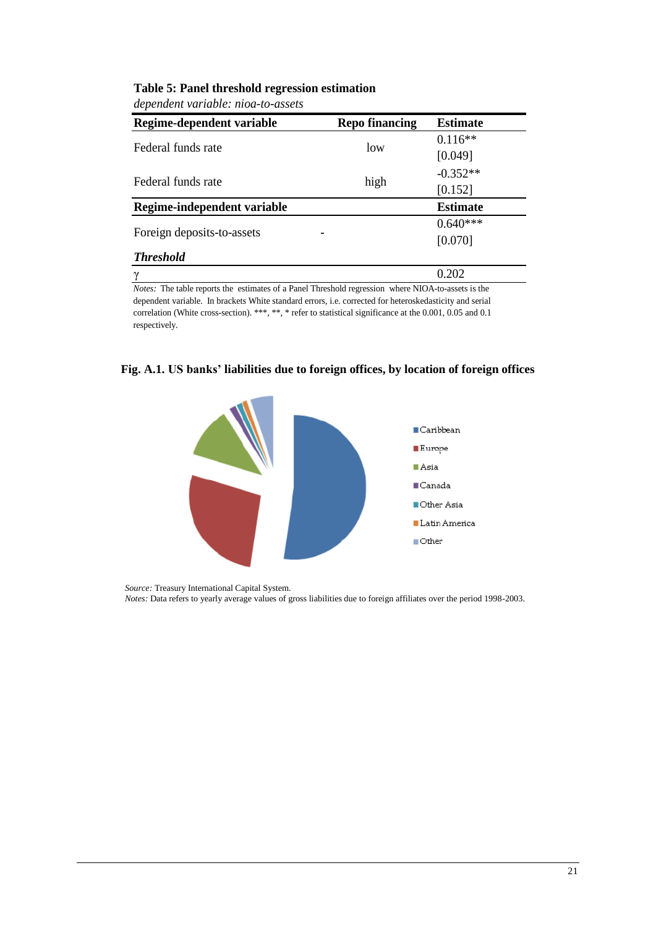|  |  | dependent variable: nioa-to-assets |
|--|--|------------------------------------|
|--|--|------------------------------------|

| Regime-dependent variable   | <b>Repo financing</b> | <b>Estimate</b> |
|-----------------------------|-----------------------|-----------------|
| Federal funds rate          | low                   | $0.116**$       |
|                             |                       | [0.049]         |
| Federal funds rate          |                       | $-0.352**$      |
|                             | high                  | [0.152]         |
| Regime-independent variable |                       | <b>Estimate</b> |
|                             |                       | $0.640***$      |
| Foreign deposits-to-assets  |                       | [0.070]         |
| <b>Threshold</b>            |                       |                 |
|                             |                       | 0.202           |

*Notes:* The table reports the estimates of a Panel Threshold regression where NIOA-to-assets is the dependent variable. In brackets White standard errors, i.e. corrected for heteroskedasticity and serial correlation (White cross-section). \*\*\*, \*\*, \* refer to statistical significance at the 0.001, 0.05 and 0.1 respectively.





*Source:* Treasury International Capital System. *Notes:* Data refers to yearly average values of gross liabilities due to foreign affiliates over the period 1998-2003.